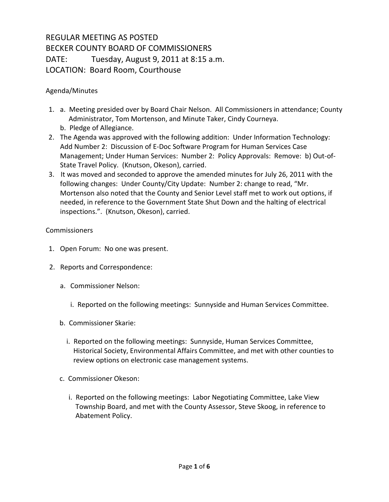## REGULAR MEETING AS POSTED BECKER COUNTY BOARD OF COMMISSIONERS DATE: Tuesday, August 9, 2011 at 8:15 a.m. LOCATION: Board Room, Courthouse

## Agenda/Minutes

- 1. a. Meeting presided over by Board Chair Nelson. All Commissioners in attendance; County Administrator, Tom Mortenson, and Minute Taker, Cindy Courneya. b. Pledge of Allegiance.
- 2. The Agenda was approved with the following addition: Under Information Technology: Add Number 2: Discussion of E-Doc Software Program for Human Services Case Management; Under Human Services: Number 2: Policy Approvals: Remove: b) Out-of-State Travel Policy. (Knutson, Okeson), carried.
- 3. It was moved and seconded to approve the amended minutes for July 26, 2011 with the following changes: Under County/City Update: Number 2: change to read, "Mr. Mortenson also noted that the County and Senior Level staff met to work out options, if needed, in reference to the Government State Shut Down and the halting of electrical inspections.". (Knutson, Okeson), carried.

## **Commissioners**

- 1. Open Forum: No one was present.
- 2. Reports and Correspondence:
	- a. Commissioner Nelson:
		- i. Reported on the following meetings: Sunnyside and Human Services Committee.
	- b. Commissioner Skarie:
		- i. Reported on the following meetings: Sunnyside, Human Services Committee, Historical Society, Environmental Affairs Committee, and met with other counties to review options on electronic case management systems.
	- c. Commissioner Okeson:
		- i. Reported on the following meetings: Labor Negotiating Committee, Lake View Township Board, and met with the County Assessor, Steve Skoog, in reference to Abatement Policy.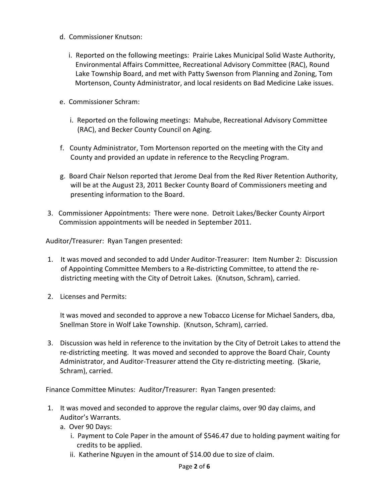- d. Commissioner Knutson:
	- i. Reported on the following meetings: Prairie Lakes Municipal Solid Waste Authority, Environmental Affairs Committee, Recreational Advisory Committee (RAC), Round Lake Township Board, and met with Patty Swenson from Planning and Zoning, Tom Mortenson, County Administrator, and local residents on Bad Medicine Lake issues.
- e. Commissioner Schram:
	- i. Reported on the following meetings: Mahube, Recreational Advisory Committee (RAC), and Becker County Council on Aging.
- f. County Administrator, Tom Mortenson reported on the meeting with the City and County and provided an update in reference to the Recycling Program.
- g. Board Chair Nelson reported that Jerome Deal from the Red River Retention Authority, will be at the August 23, 2011 Becker County Board of Commissioners meeting and presenting information to the Board.
- 3. Commissioner Appointments:There were none. Detroit Lakes/Becker County Airport Commission appointments will be needed in September 2011.

Auditor/Treasurer: Ryan Tangen presented:

- 1. It was moved and seconded to add Under Auditor-Treasurer: Item Number 2: Discussion of Appointing Committee Members to a Re-districting Committee, to attend the re districting meeting with the City of Detroit Lakes. (Knutson, Schram), carried.
- 2. Licenses and Permits:

It was moved and seconded to approve a new Tobacco License for Michael Sanders, dba, Snellman Store in Wolf Lake Township. (Knutson, Schram), carried.

3. Discussion was held in reference to the invitation by the City of Detroit Lakes to attend the re-districting meeting. It was moved and seconded to approve the Board Chair, County Administrator, and Auditor-Treasurer attend the City re-districting meeting. (Skarie, Schram), carried.

Finance Committee Minutes: Auditor/Treasurer: Ryan Tangen presented:

- 1. It was moved and seconded to approve the regular claims, over 90 day claims, and Auditor's Warrants.
	- a. Over 90 Days:
		- i. Payment to Cole Paper in the amount of \$546.47 due to holding payment waiting for credits to be applied.
		- ii. Katherine Nguyen in the amount of \$14.00 due to size of claim.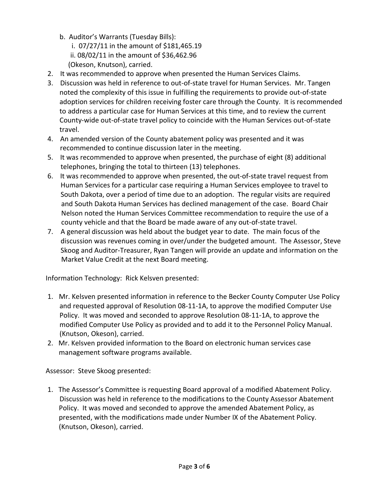- b. Auditor's Warrants (Tuesday Bills):
	- i. 07/27/11 in the amount of \$181,465.19
	- ii. 08/02/11 in the amount of \$36,462.96
	- (Okeson, Knutson), carried.
- 2. It was recommended to approve when presented the Human Services Claims.
- 3. Discussion was held in reference to out-of-state travel for Human Services. Mr. Tangen noted the complexity of this issue in fulfilling the requirements to provide out-of-state adoption services for children receiving foster care through the County. It is recommended to address a particular case for Human Services at this time, and to review the current County-wide out-of-state travel policy to coincide with the Human Services out-of-state travel.
- 4. An amended version of the County abatement policy was presented and it was recommended to continue discussion later in the meeting.
- 5. It was recommended to approve when presented, the purchase of eight (8) additional telephones, bringing the total to thirteen (13) telephones.
- 6. It was recommended to approve when presented, the out-of-state travel request from Human Services for a particular case requiring a Human Services employee to travel to South Dakota, over a period of time due to an adoption. The regular visits are required and South Dakota Human Services has declined management of the case. Board Chair Nelson noted the Human Services Committee recommendation to require the use of a county vehicle and that the Board be made aware of any out-of-state travel.
- 7. A general discussion was held about the budget year to date. The main focus of the discussion was revenues coming in over/under the budgeted amount. The Assessor, Steve Skoog and Auditor-Treasurer, Ryan Tangen will provide an update and information on the Market Value Credit at the next Board meeting.

Information Technology: Rick Kelsven presented:

- 1. Mr. Kelsven presented information in reference to the Becker County Computer Use Policy and requested approval of Resolution 08-11-1A, to approve the modified Computer Use Policy. It was moved and seconded to approve Resolution 08-11-1A, to approve the modified Computer Use Policy as provided and to add it to the Personnel Policy Manual. (Knutson, Okeson), carried.
- 2. Mr. Kelsven provided information to the Board on electronic human services case management software programs available.

Assessor: Steve Skoog presented:

1. The Assessor's Committee is requesting Board approval of a modified Abatement Policy. Discussion was held in reference to the modifications to the County Assessor Abatement Policy. It was moved and seconded to approve the amended Abatement Policy, as presented, with the modifications made under Number IX of the Abatement Policy. (Knutson, Okeson), carried.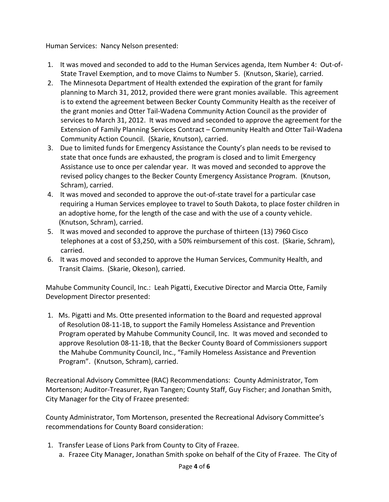Human Services: Nancy Nelson presented:

- 1. It was moved and seconded to add to the Human Services agenda, Item Number 4: Out-of- State Travel Exemption, and to move Claims to Number 5. (Knutson, Skarie), carried.
- 2. The Minnesota Department of Health extended the expiration of the grant for family planning to March 31, 2012, provided there were grant monies available. This agreement is to extend the agreement between Becker County Community Health as the receiver of the grant monies and Otter Tail-Wadena Community Action Council as the provider of services to March 31, 2012. It was moved and seconded to approve the agreement for the Extension of Family Planning Services Contract – Community Health and Otter Tail-Wadena Community Action Council. (Skarie, Knutson), carried.
- 3. Due to limited funds for Emergency Assistance the County's plan needs to be revised to state that once funds are exhausted, the program is closed and to limit Emergency Assistance use to once per calendar year. It was moved and seconded to approve the revised policy changes to the Becker County Emergency Assistance Program. (Knutson, Schram), carried.
- 4. It was moved and seconded to approve the out-of-state travel for a particular case requiring a Human Services employee to travel to South Dakota, to place foster children in an adoptive home, for the length of the case and with the use of a county vehicle. (Knutson, Schram), carried.
- 5. It was moved and seconded to approve the purchase of thirteen (13) 7960 Cisco telephones at a cost of \$3,250, with a 50% reimbursement of this cost. (Skarie, Schram), carried.
- 6. It was moved and seconded to approve the Human Services, Community Health, and Transit Claims. (Skarie, Okeson), carried.

Mahube Community Council, Inc.: Leah Pigatti, Executive Director and Marcia Otte, Family Development Director presented:

1. Ms. Pigatti and Ms. Otte presented information to the Board and requested approval of Resolution 08-11-1B, to support the Family Homeless Assistance and Prevention Program operated by Mahube Community Council, Inc. It was moved and seconded to approve Resolution 08-11-1B, that the Becker County Board of Commissioners support the Mahube Community Council, Inc., "Family Homeless Assistance and Prevention Program". (Knutson, Schram), carried.

Recreational Advisory Committee (RAC) Recommendations: County Administrator, Tom Mortenson; Auditor-Treasurer, Ryan Tangen; County Staff, Guy Fischer; and Jonathan Smith, City Manager for the City of Frazee presented:

County Administrator, Tom Mortenson, presented the Recreational Advisory Committee's recommendations for County Board consideration:

- 1. Transfer Lease of Lions Park from County to City of Frazee.
	- a. Frazee City Manager, Jonathan Smith spoke on behalf of the City of Frazee. The City of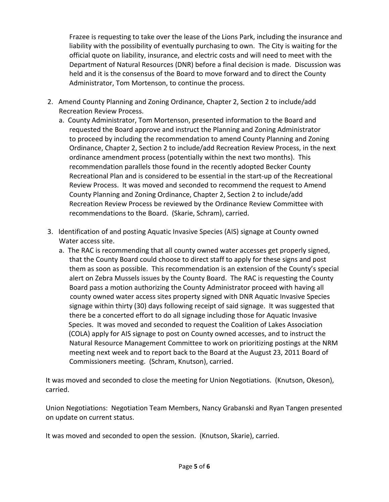Frazee is requesting to take over the lease of the Lions Park, including the insurance and liability with the possibility of eventually purchasing to own. The City is waiting for the official quote on liability, insurance, and electric costs and will need to meet with the Department of Natural Resources (DNR) before a final decision is made. Discussion was held and it is the consensus of the Board to move forward and to direct the County Administrator, Tom Mortenson, to continue the process.

- 2. Amend County Planning and Zoning Ordinance, Chapter 2, Section 2 to include/add Recreation Review Process.
	- a. County Administrator, Tom Mortenson, presented information to the Board and requested the Board approve and instruct the Planning and Zoning Administrator to proceed by including the recommendation to amend County Planning and Zoning Ordinance, Chapter 2, Section 2 to include/add Recreation Review Process, in the next ordinance amendment process (potentially within the next two months). This recommendation parallels those found in the recently adopted Becker County Recreational Plan and is considered to be essential in the start-up of the Recreational Review Process. It was moved and seconded to recommend the request to Amend County Planning and Zoning Ordinance, Chapter 2, Section 2 to include/add Recreation Review Process be reviewed by the Ordinance Review Committee with recommendations to the Board. (Skarie, Schram), carried.
- 3. Identification of and posting Aquatic Invasive Species (AIS) signage at County owned Water access site.
	- a. The RAC is recommending that all county owned water accesses get properly signed, that the County Board could choose to direct staff to apply for these signs and post them as soon as possible. This recommendation is an extension of the County's special alert on Zebra Mussels issues by the County Board. The RAC is requesting the County Board pass a motion authorizing the County Administrator proceed with having all county owned water access sites property signed with DNR Aquatic Invasive Species signage within thirty (30) days following receipt of said signage. It was suggested that there be a concerted effort to do all signage including those for Aquatic Invasive Species. It was moved and seconded to request the Coalition of Lakes Association (COLA) apply for AIS signage to post on County owned accesses, and to instruct the Natural Resource Management Committee to work on prioritizing postings at the NRM meeting next week and to report back to the Board at the August 23, 2011 Board of Commissioners meeting. (Schram, Knutson), carried.

It was moved and seconded to close the meeting for Union Negotiations. (Knutson, Okeson), carried.

Union Negotiations: Negotiation Team Members, Nancy Grabanski and Ryan Tangen presented on update on current status.

It was moved and seconded to open the session. (Knutson, Skarie), carried.